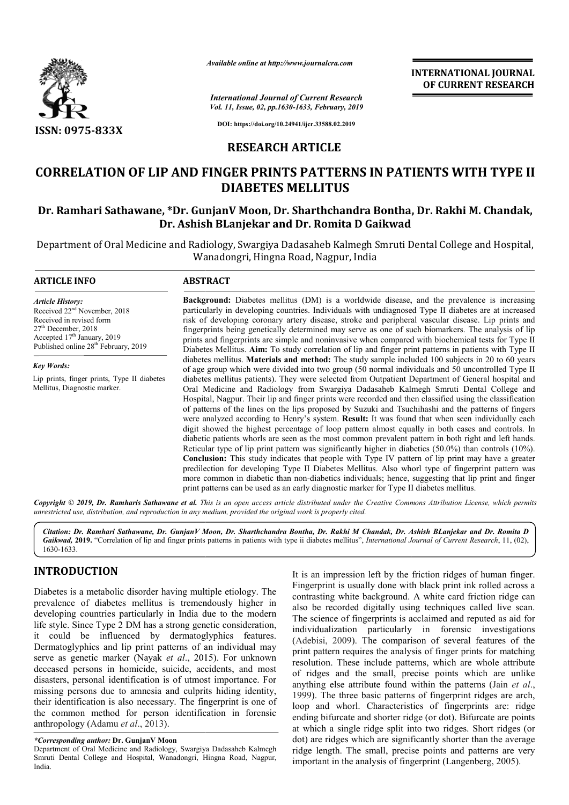

*Available online at http://www.journalcra.com*

*International Journal of Current Research Vol. 11, Issue, 02, pp.1630-1633, February, 2019* **INTERNATIONAL JOURNAL OF CURRENT RESEARCH**

**DOI: https://doi.org/10.24941/ijcr.33588.02.2019**

# **RESEARCH ARTICLE**

# **CORRELATION OF LIP AND FINGER PRINTS PATTERNS IN PATIENTS WITH TYPE II<br>DIABETES MELLITUS<br>Dr. Ramhari Sathawane, \*Dr. GunjanV Moon, Dr. Sharthchandra Bontha, Dr. Rakhi M. Chandak, DIABETES MELLITUS**

# **Dr. Ramhari Sathawane, \*Dr. GunjanV Moon, Dr. Dr. Sharthchandra Bontha, Dr. Ashish BLanjekar and Dr. Romita D Gaikwad Ashish BLanjekar**

Department of Oral Medicine and Radiology, Swargiya Dadasaheb Kalmegh Smruti Dental College and Hospital, Wanadongri, Hingna Road, Nagpur, India

# **ARTICLE INFO ABSTRACT**

*Article History:* Received 22nd November, 2018 Received in revised form 27<sup>th</sup> December, 2018 Accepted 17<sup>th</sup> January, 2019 Published online 28<sup>th</sup> February, 2019

*Key Words:* Lip prints, finger prints, Type II diabetes Mellitus, Diagnostic marker.

**Background:** Diabetes mellitus (DM) is a worldwide disease, and the prevalence is increasing particularly in developing countries. Individuals with undiagnosed Type II diabetes are at increased risk of developing coronary artery disease, stroke and peripheral vascular disease. Lip prints and fingerprints being genetically determined may serve as one of such biomarkers. The analysis of lip prints and f fingerprints are simple and noninvasive when compared with biochemical tests for Type II Diabetes Mellitus. **Aim:** To study correlation of lip and finger print patterns in patients with Type II diabetes mellitus mellitus. **Materials and method:** The study sample include of age group which were divided into two group (50 normal individuals and 50 uncontrolled Type II diabetes mellitus patients). They were selected from Outpatient Department of General hospital and Oral Medicine and Radiolog Radiology from Swargiya Dadasaheb Kalmegh Smruti Dental College and Hospital, Nagpur. Their lip and finger prints were recorded and then classified using the classification diabetes mellitus patients). They were selected from Outpatient Department of General hospital and Oral Medicine and Radiology from Swargiya Dadasaheb Kalmegh Smruti Dental College and Hospital, Nagpur. Their lip and finge were analyzed according to Henry's system. **Result:** It was found that when seen individually each digit showed the highest percentage of loop pattern almost equally in both cases and controls. In diabetic patients whorls are seen as the most common prevalent pattern in both right and left hands. Reticular type of lip print pattern was significantly higher in diabetics (50.0%) than controls (10%). **Conclusion:** This study indicates that people with Type IV pattern of lip print may have a greater predilection for developing Type II Diabetes Mellitus. Also whorl type of fingerprint pattern was more common in diabetic than non-diabetics individuals; hence, suggesting that lip print and finger print patterns can be used as an early diagnostic marker f for Type II diabetes mellitus. **Background:** Diabetes mellitus (DM) is a worldwide disease, and the prevalence is increasing particularly in developing countries. Individuals with undiagnosed Type II diabetes are at increased risk of developing coronary were analyzed according to Henry's system. **Result:** It was found that when seen individually each digit showed the highest percentage of loop pattern almost equally in both cases and controls. In diabetic patients whorls

Copyright © 2019, Dr. Ramharis Sathawane et al. This is an open access article distributed under the Creative Commons Attribution License, which permits *unrestricted use, distribution, and reproduction in any medium, provided the original work is properly cited.*

*Citation: Dr. Ramhari Sathawane, Dr. GunjanV Moon, Dr. Sharthchandra Bontha, Dr. Rakhi M Chandak, Dr. Ashish BLanjekar and Dr. Romita D Sathawane, Moon, D*Gaikwad, 2019. "Correlation of lip and finger prints patterns in patients with type ii diabetes mellitus", *International Journal of Current Research*, 11, (02), 1630-1633.

# **INTRODUCTION**

Diabetes is a metabolic disorder having multiple etiology. The prevalence of diabetes mellitus is tremendously higher in developing countries particularly in India due to the modern life style. Since Type 2 DM has a strong genetic consideration, it could be influenced by dermatoglyphics features. Dermatoglyphics and lip print patterns of an individual may Dermatoglyphics and lip print patterns of an individual may serve as genetic marker (Nayak *et al.*, 2015). For unknown deceased persons in homicide, suicide, accidents, and most disasters, personal identification is of utmost importance. For missing persons due to amnesia and culprits hiding identity, their identification is also necessary. The fingerprint is one of the common method for person identification in forensic anthropology (Adamu *et al*., 2013).

It is an impression left by the friction ridges of human finger. Fingerprint is usually done with black print ink rolled across a contrasting white background. A white card friction ridge can also be recorded digitally using techniques called live scan. also be recorded digitally using techniques called live scan.<br>The science of fingerprints is acclaimed and reputed as aid for individualization particularly in forensic investigations (Adebisi, 2009). The comparison of several features of the print pattern requires the analysis of finger prints for matching (Adebisi, 2009). The comparison of several features of the print pattern requires the analysis of finger prints for matching resolution. These include patterns, which are whole attribute of ridges and the small, precise points which are unlike anything else attribute found within the patterns (Jain *et al.*, 1999). The three basic patterns of fingerprint ridges are arch, loop and whorl. Characteristics of fingerprints are: ridge ending bifurcate and shorter ridge (or dot). Bifurcate are points at which a single ridge split into two ridges. Short dot) are ridges which are significantly shorter than the average dot) are ridges which are significantly shorter than the average ridge length. The small, precise points and patterns are very important in the analysis of fingerprint (Langenberg, 2005). It is an impression left by the friction ridges of human finger.<br>Fingerprint is usually done with black print ink rolled across a<br>contrasting white background. A white card friction ridge can loop and whorl. Characteristics of fingerprints are: ridge ending bifurcate and shorter ridge (or dot). Bifurcate are points at which a single ridge split into two ridges. Short ridges (or

*<sup>\*</sup>Corresponding author:* **Dr. GunjanV Moon**

Department of Oral Medicine and Radiology, Swargiya Dadasaheb Kalmegh Smruti Dental College and Hospital, Wanadongri, Hingna Road, Nagpur, India.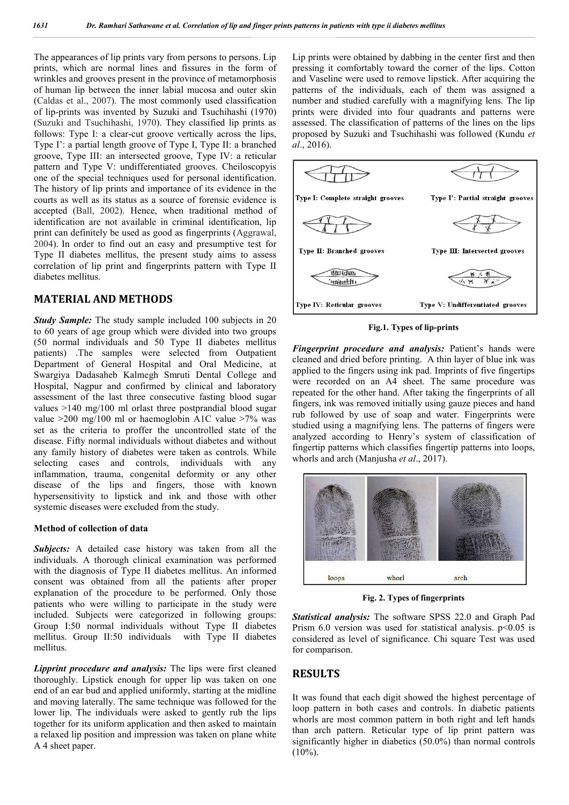The appearances of lip prints vary from persons to persons. Lip prints, which are normal lines and fissures in the form of wrinkles and grooves present in the province of metamorphosis of human lip between the inner labial mucosa and outer skin (Caldas et al., 2007). The most commonly used classification of lip-prints was invented by Suzuki and Tsuchihashi (1970) (Suzuki and Tsuchihashi, 1970). They classified lip prints as follows: Type I: a clear-cut groove vertically across the lips. Type I': a partial length groove of Type I, Type II: a branched groove, Type III: an intersected groove, Type IV: a reticular pattern and Type V: undifferentiated grooves. Cheiloscopyis one of the special techniques used for personal identification. The history of lip prints and importance of its evidence in the courts as well as its status as a source of forensic evidence is accepted (Ball, 2002). Hence, when traditional method of identification are not available in criminal identification, lip print can definitely be used as good as fingerprints (Aggrawal, 2004). In order to find out an easy and presumptive test for Type II diabetes mellitus, the present study aims to assess correlation of lip print and fingerprints pattern with Type II diabetes mellitus.

### **MATERIAL AND METHODS**

*Study Sample:* The study sample included 100 subjects in 20 to 60 years of age group which were divided into two groups (50 normal individuals and 50 Type II diabetes mellitus patients) .The samples were selected from Outpatient Department of General Hospital and Oral Medicine, at Swargiya Dadasaheb Kalmegh Smruti Dental College and Hospital, Nagpur and confirmed by clinical and laboratory assessment of the last three consecutive fasting blood sugar values >140 mg/100 ml orlast three postprandial blood sugar value  $>200$  mg/100 ml or haemoglobin A1C value  $>7\%$  was set as the criteria to proffer the uncontrolled state of the disease. Fifty normal individuals without diabetes and without any family history of diabetes were taken as controls. While selecting cases and controls, individuals with any inflammation, trauma, congenital deformity or any other disease of the lips and fingers, those with known hypersensitivity to lipstick and ink and those with other systemic diseases were excluded from the study.

#### **Method of collection of data**

*Subjects:* A detailed case history was taken from all the individuals. A thorough clinical examination was performed with the diagnosis of Type II diabetes mellitus. An informed consent was obtained from all the patients after proper explanation of the procedure to be performed. Only those patients who were willing to participate in the study were included. Subjects were categorized in following groups: Group I:50 normal individuals without Type II diabetes mellitus. Group II:50 individuals with Type II diabetes mellitus.

*Lipprint procedure and analysis:* The lips were first cleaned thoroughly. Lipstick enough for upper lip was taken on one end of an ear bud and applied uniformly, starting at the midline and moving laterally. The same technique was followed for the lower lip. The individuals were asked to gently rub the lips together for its uniform application and then asked to maintain a relaxed lip position and impression was taken on plane white A 4 sheet paper.

Lip prints were obtained by dabbing in the center first and then pressing it comfortably toward the corner of the lips. Cotton and Vaseline were used to remove lipstick. After acquiring the patterns of the individuals, each of them was assigned a number and studied carefully with a magnifying lens. The lip prints were divided into four quadrants and patterns were assessed. The classification of patterns of the lines on the lips proposed by Suzuki and Tsuchihashi was followed (Kundu *et al*., 2016).



**Fig.1. Types of lip-prints**

*Fingerprint procedure and analysis:* Patient's hands were cleaned and dried before printing. A thin layer of blue ink was applied to the fingers using ink pad. Imprints of five fingertips were recorded on an A4 sheet. The same procedure was repeated for the other hand. After taking the fingerprints of all fingers, ink was removed initially using gauze pieces and hand rub followed by use of soap and water. Fingerprints were studied using a magnifying lens. The patterns of fingers were analyzed according to Henry's system of classification of fingertip patterns which classifies fingertip patterns into loops, whorls and arch (Manjusha *et al*., 2017).



**Fig. 2. Types of fingerprints**

*Statistical analysis:* The software SPSS 22.0 and Graph Pad Prism 6.0 version was used for statistical analysis.  $p<0.05$  is considered as level of significance. Chi square Test was used for comparison.

# **RESULTS**

It was found that each digit showed the highest percentage of loop pattern in both cases and controls. In diabetic patients whorls are most common pattern in both right and left hands than arch pattern. Reticular type of lip print pattern was significantly higher in diabetics (50.0%) than normal controls  $(10\%)$ .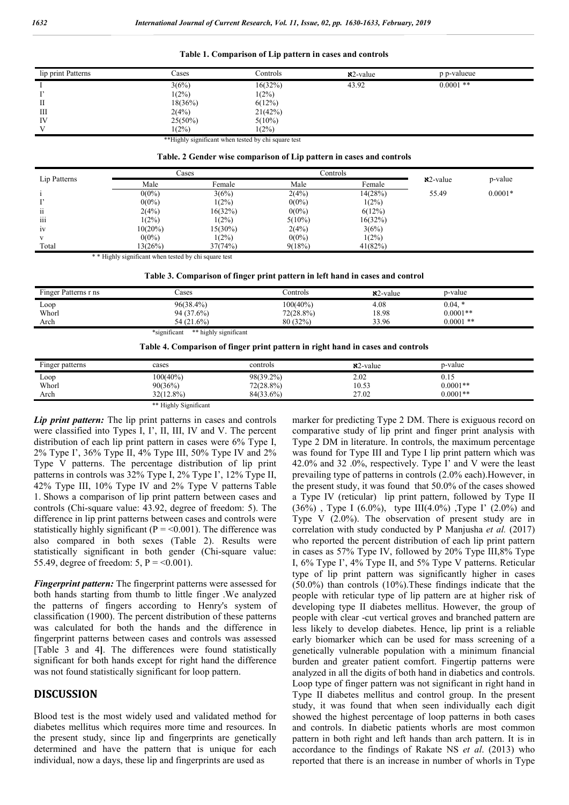| Table 1. Comparison of Lip pattern in cases and controls |  |  |
|----------------------------------------------------------|--|--|
|                                                          |  |  |

| lip print Patterns | Cases      | Controls  | $x^2$ -value | p p-valueue |  |
|--------------------|------------|-----------|--------------|-------------|--|
|                    | 3(6%)      | 16(32%)   | 43.92        | $0.0001$ ** |  |
|                    | $1(2\%)$   | 1(2%)     |              |             |  |
| П                  | 18(36%)    | 6(12%)    |              |             |  |
| Ш                  | 2(4%)      | 21(42%)   |              |             |  |
| IV                 | $25(50\%)$ | $5(10\%)$ |              |             |  |
| V                  | $1(2\%)$   | 1(2%)     |              |             |  |

\*\*Highly significant when tested by chi square test

#### **Table. 2 Gender wise comparison of Lip pattern in cases and controls**

| Lip Patterns    | Cases      |          | Controls  |          |              |           |
|-----------------|------------|----------|-----------|----------|--------------|-----------|
|                 | Male       | Female   | Male      | Female   | $x^2$ -value | p-value   |
|                 | $0(0\%)$   | 3(6%)    | 2(4%)     | 14(28%)  | 55.49        | $0.0001*$ |
|                 | $0(0\%)$   | $1(2\%)$ | $0(0\%)$  | $1(2\%)$ |              |           |
| 11              | 2(4%)      | 16(32%)  | $0(0\%)$  | 6(12%)   |              |           |
| $\cdots$<br>111 | 1(2%)      | $1(2\%)$ | $5(10\%)$ | 16(32%)  |              |           |
| 1V              | $10(20\%)$ | 15(30%)  | 2(4%)     | 3(6%)    |              |           |
|                 | $0(0\%)$   | $1(2\%)$ | $0(0\%)$  | $1(2\%)$ |              |           |
| Total           | 13(26%)    | 37(74%)  | 9(18%)    | 41(82%)  |              |           |

\* \* Highly significant when tested by chi square test

**Table 3. Comparison of finger print pattern in left hand in cases and control**

| Finger Patterns r ns | `ases                                 | controls_    | $x^2$ -value | p-value     |
|----------------------|---------------------------------------|--------------|--------------|-------------|
| Loop                 | $96(38.4\%)$                          | $100(40\%)$  | 4.08         | $0.04.*$    |
| Whorl                | 94 (37.6%)                            | $72(28.8\%)$ | 18.98        | $0.0001**$  |
| Arch                 | 54 (21.6%)                            | 80 (32%)     | 33.96        | $0.0001$ ** |
|                      | *significant<br>** highly significant |              |              |             |

| Table 4. Comparison of finger print pattern in right hand in cases and controls |  |  |  |
|---------------------------------------------------------------------------------|--|--|--|
|                                                                                 |  |  |  |

| Finger patterns | cases                 | controls     | $x^2$ -value | p-value    |  |
|-----------------|-----------------------|--------------|--------------|------------|--|
| Loop            | 100(40%)              | 98(39.2%)    | 2.02         | 0.15       |  |
| Whorl           | 90(36%)               | $72(28.8\%)$ | 10.53        | $0.0001**$ |  |
| Arch            | 32(12.8%)             | 84(33.6%)    | 27.02        | $0.0001**$ |  |
|                 | ** Highly Significant |              |              |            |  |

*Lip print pattern:* The lip print patterns in cases and controls were classified into Types I, I', II, III, IV and V. The percent distribution of each lip print pattern in cases were 6% Type I, 2% Type I', 36% Type II, 4% Type III, 50% Type IV and 2% Type V patterns. The percentage distribution of lip print patterns in controls was 32% Type I, 2% Type I', 12% Type II, 42% Type III, 10% Type IV and 2% Type V patterns Table 1. Shows a comparison of lip print pattern between cases and controls (Chi-square value: 43.92, degree of freedom: 5). The difference in lip print patterns between cases and controls were statistically highly significant ( $P = 0.001$ ). The difference was also compared in both sexes (Table 2). Results were statistically significant in both gender (Chi-square value: 55.49, degree of freedom: 5,  $P = 0.001$ .

*Fingerprint pattern:* The fingerprint patterns were assessed for both hands starting from thumb to little finger .We analyzed the patterns of fingers according to Henry's system of classification (1900). The percent distribution of these patterns was calculated for both the hands and the difference in fingerprint patterns between cases and controls was assessed [Table 3 and 4**]**. The differences were found statistically significant for both hands except for right hand the difference was not found statistically significant for loop pattern.

# **DISCUSSION**

Blood test is the most widely used and validated method for diabetes mellitus which requires more time and resources. In the present study, since lip and fingerprints are genetically determined and have the pattern that is unique for each individual, now a days, these lip and fingerprints are used as

marker for predicting Type 2 DM. There is exiguous record on comparative study of lip print and finger print analysis with Type 2 DM in literature. In controls, the maximum percentage was found for Type III and Type I lip print pattern which was 42.0% and 32 .0%, respectively. Type I' and V were the least prevailing type of patterns in controls (2.0% each).However, in the present study, it was found that 50.0% of the cases showed a Type IV (reticular) lip print pattern, followed by Type II  $(36\%)$ , Type I  $(6.0\%)$ , type III $(4.0\%)$ , Type I'  $(2.0\%)$  and Type V (2.0%). The observation of present study are in correlation with study conducted by P Manjusha *et al.* (2017) who reported the percent distribution of each lip print pattern in cases as 57% Type IV, followed by 20% Type III,8% Type I, 6% Type I', 4% Type II, and 5% Type V patterns. Reticular type of lip print pattern was significantly higher in cases (50.0%) than controls (10%).These findings indicate that the people with reticular type of lip pattern are at higher risk of developing type II diabetes mellitus. However, the group of people with clear -cut vertical groves and branched pattern are less likely to develop diabetes. Hence, lip print is a reliable early biomarker which can be used for mass screening of a genetically vulnerable population with a minimum financial burden and greater patient comfort. Fingertip patterns were analyzed in all the digits of both hand in diabetics and controls. Loop type of finger pattern was not significant in right hand in Type II diabetes mellitus and control group. In the present study, it was found that when seen individually each digit showed the highest percentage of loop patterns in both cases and controls. In diabetic patients whorls are most common pattern in both right and left hands than arch pattern. It is in accordance to the findings of Rakate NS *et al*. (2013) who reported that there is an increase in number of whorls in Type